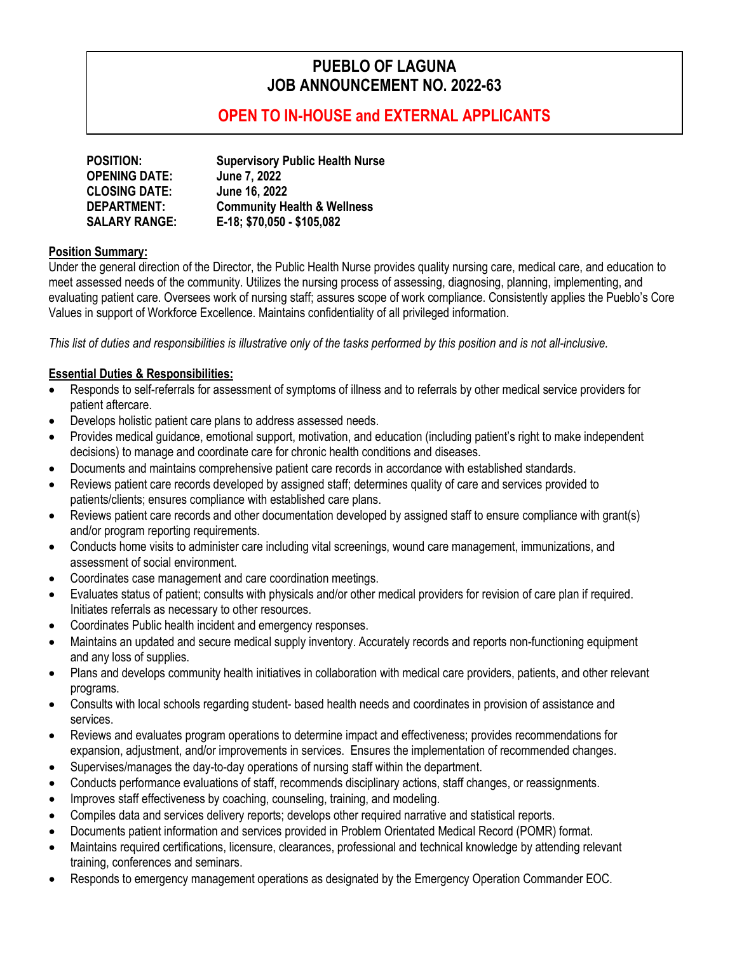# **PUEBLO OF LAGUNA JOB ANNOUNCEMENT NO. 2022-63**

# **OPEN TO IN-HOUSE and EXTERNAL APPLICANTS**

| <b>POSITION:</b>     | <b>Supervisory Public Health Nurse</b> |
|----------------------|----------------------------------------|
| <b>OPENING DATE:</b> | June 7, 2022                           |
| <b>CLOSING DATE:</b> | June 16, 2022                          |
| <b>DEPARTMENT:</b>   | <b>Community Health &amp; Wellness</b> |
| <b>SALARY RANGE:</b> | E-18; \$70,050 - \$105,082             |

#### **Position Summary:**

Under the general direction of the Director, the Public Health Nurse provides quality nursing care, medical care, and education to meet assessed needs of the community. Utilizes the nursing process of assessing, diagnosing, planning, implementing, and evaluating patient care. Oversees work of nursing staff; assures scope of work compliance. Consistently applies the Pueblo's Core Values in support of Workforce Excellence. Maintains confidentiality of all privileged information.

*This list of duties and responsibilities is illustrative only of the tasks performed by this position and is not all-inclusive.*

#### **Essential Duties & Responsibilities:**

- Responds to self-referrals for assessment of symptoms of illness and to referrals by other medical service providers for patient aftercare.
- Develops holistic patient care plans to address assessed needs.
- Provides medical guidance, emotional support, motivation, and education (including patient's right to make independent decisions) to manage and coordinate care for chronic health conditions and diseases.
- Documents and maintains comprehensive patient care records in accordance with established standards.
- Reviews patient care records developed by assigned staff; determines quality of care and services provided to patients/clients; ensures compliance with established care plans.
- Reviews patient care records and other documentation developed by assigned staff to ensure compliance with grant(s) and/or program reporting requirements.
- Conducts home visits to administer care including vital screenings, wound care management, immunizations, and assessment of social environment.
- Coordinates case management and care coordination meetings.
- Evaluates status of patient; consults with physicals and/or other medical providers for revision of care plan if required. Initiates referrals as necessary to other resources.
- Coordinates Public health incident and emergency responses.
- Maintains an updated and secure medical supply inventory. Accurately records and reports non-functioning equipment and any loss of supplies.
- Plans and develops community health initiatives in collaboration with medical care providers, patients, and other relevant programs.
- Consults with local schools regarding student- based health needs and coordinates in provision of assistance and services.
- Reviews and evaluates program operations to determine impact and effectiveness; provides recommendations for expansion, adjustment, and/or improvements in services. Ensures the implementation of recommended changes.
- Supervises/manages the day-to-day operations of nursing staff within the department.
- Conducts performance evaluations of staff, recommends disciplinary actions, staff changes, or reassignments.
- Improves staff effectiveness by coaching, counseling, training, and modeling.
- Compiles data and services delivery reports; develops other required narrative and statistical reports.
- Documents patient information and services provided in Problem Orientated Medical Record (POMR) format.
- Maintains required certifications, licensure, clearances, professional and technical knowledge by attending relevant training, conferences and seminars.
- Responds to emergency management operations as designated by the Emergency Operation Commander EOC.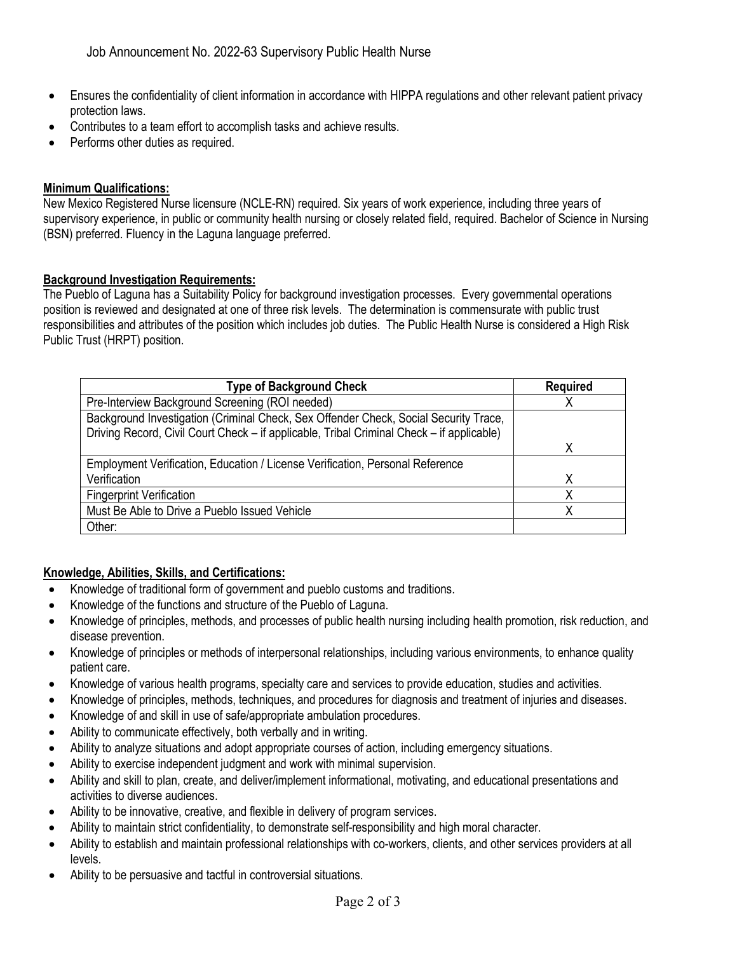- Ensures the confidentiality of client information in accordance with HIPPA regulations and other relevant patient privacy protection laws.
- Contributes to a team effort to accomplish tasks and achieve results.
- Performs other duties as required.

#### **Minimum Qualifications:**

New Mexico Registered Nurse licensure (NCLE-RN) required. Six years of work experience, including three years of supervisory experience, in public or community health nursing or closely related field, required. Bachelor of Science in Nursing (BSN) preferred. Fluency in the Laguna language preferred.

#### **Background Investigation Requirements:**

The Pueblo of Laguna has a Suitability Policy for background investigation processes. Every governmental operations position is reviewed and designated at one of three risk levels. The determination is commensurate with public trust responsibilities and attributes of the position which includes job duties. The Public Health Nurse is considered a High Risk Public Trust (HRPT) position.

| <b>Type of Background Check</b>                                                           | <b>Required</b> |
|-------------------------------------------------------------------------------------------|-----------------|
| Pre-Interview Background Screening (ROI needed)                                           |                 |
| Background Investigation (Criminal Check, Sex Offender Check, Social Security Trace,      |                 |
| Driving Record, Civil Court Check - if applicable, Tribal Criminal Check - if applicable) |                 |
|                                                                                           |                 |
| Employment Verification, Education / License Verification, Personal Reference             |                 |
| Verification                                                                              |                 |
| <b>Fingerprint Verification</b>                                                           |                 |
| Must Be Able to Drive a Pueblo Issued Vehicle                                             |                 |
| Other:                                                                                    |                 |

#### **Knowledge, Abilities, Skills, and Certifications:**

- Knowledge of traditional form of government and pueblo customs and traditions.
- Knowledge of the functions and structure of the Pueblo of Laguna.
- Knowledge of principles, methods, and processes of public health nursing including health promotion, risk reduction, and disease prevention.
- Knowledge of principles or methods of interpersonal relationships, including various environments, to enhance quality patient care.
- Knowledge of various health programs, specialty care and services to provide education, studies and activities.
- Knowledge of principles, methods, techniques, and procedures for diagnosis and treatment of injuries and diseases.
- Knowledge of and skill in use of safe/appropriate ambulation procedures.
- Ability to communicate effectively, both verbally and in writing.
- Ability to analyze situations and adopt appropriate courses of action, including emergency situations.
- Ability to exercise independent judgment and work with minimal supervision.
- Ability and skill to plan, create, and deliver/implement informational, motivating, and educational presentations and activities to diverse audiences.
- Ability to be innovative, creative, and flexible in delivery of program services.
- Ability to maintain strict confidentiality, to demonstrate self-responsibility and high moral character.
- Ability to establish and maintain professional relationships with co-workers, clients, and other services providers at all levels.
- Ability to be persuasive and tactful in controversial situations.